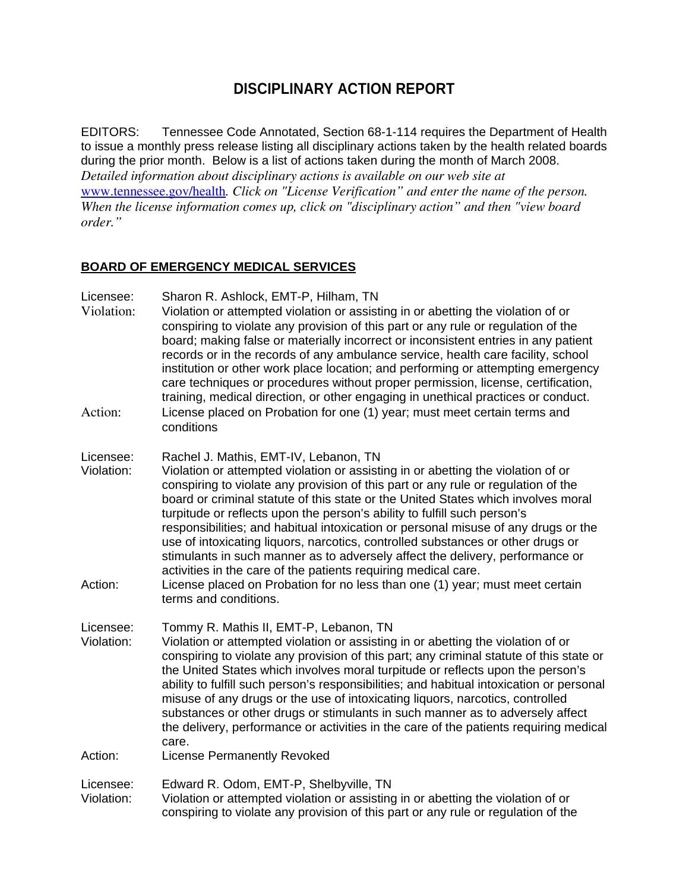# **DISCIPLINARY ACTION REPORT**

EDITORS: Tennessee Code Annotated, Section 68-1-114 requires the Department of Health to issue a monthly press release listing all disciplinary actions taken by the health related boards during the prior month. Below is a list of actions taken during the month of March 2008. *Detailed information about disciplinary actions is available on our web site at*  www.tennessee.gov/health*. Click on "License Verification" and enter the name of the person. When the license information comes up, click on "disciplinary action" and then "view board order."* 

## **BOARD OF EMERGENCY MEDICAL SERVICES**

Licensee: Sharon R. Ashlock, EMT-P, Hilham, TN

- Violation: Violation or attempted violation or assisting in or abetting the violation of or conspiring to violate any provision of this part or any rule or regulation of the board; making false or materially incorrect or inconsistent entries in any patient records or in the records of any ambulance service, health care facility, school institution or other work place location; and performing or attempting emergency care techniques or procedures without proper permission, license, certification, training, medical direction, or other engaging in unethical practices or conduct. Action: License placed on Probation for one (1) year; must meet certain terms and conditions
- 
- Licensee: Rachel J. Mathis, EMT-IV, Lebanon, TN
- Violation: Violation or attempted violation or assisting in or abetting the violation of or conspiring to violate any provision of this part or any rule or regulation of the board or criminal statute of this state or the United States which involves moral turpitude or reflects upon the person's ability to fulfill such person's responsibilities; and habitual intoxication or personal misuse of any drugs or the use of intoxicating liquors, narcotics, controlled substances or other drugs or stimulants in such manner as to adversely affect the delivery, performance or activities in the care of the patients requiring medical care.
- Action: License placed on Probation for no less than one (1) year; must meet certain terms and conditions.

Licensee: Tommy R. Mathis II, EMT-P, Lebanon, TN

- Violation: Violation or attempted violation or assisting in or abetting the violation of or conspiring to violate any provision of this part; any criminal statute of this state or the United States which involves moral turpitude or reflects upon the person's ability to fulfill such person's responsibilities; and habitual intoxication or personal misuse of any drugs or the use of intoxicating liquors, narcotics, controlled substances or other drugs or stimulants in such manner as to adversely affect the delivery, performance or activities in the care of the patients requiring medical care.
- Action: License Permanently Revoked

Licensee: Edward R. Odom, EMT-P, Shelbyville, TN

Violation: Violation or attempted violation or assisting in or abetting the violation of or conspiring to violate any provision of this part or any rule or regulation of the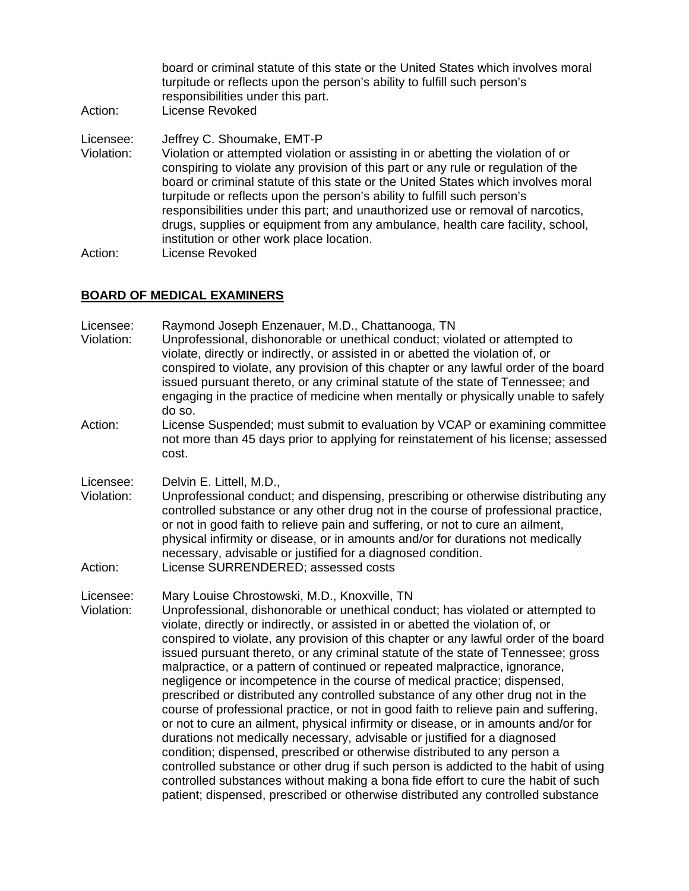board or criminal statute of this state or the United States which involves moral turpitude or reflects upon the person's ability to fulfill such person's responsibilities under this part. Action: License Revoked Licensee: Jeffrey C. Shoumake, EMT-P Violation: Violation or attempted violation or assisting in or abetting the violation of or conspiring to violate any provision of this part or any rule or regulation of the board or criminal statute of this state or the United States which involves moral turpitude or reflects upon the person's ability to fulfill such person's responsibilities under this part; and unauthorized use or removal of narcotics, drugs, supplies or equipment from any ambulance, health care facility, school, institution or other work place location. Action: License Revoked

### **BOARD OF MEDICAL EXAMINERS**

| Licensee:<br>Violation:<br>Action: | Raymond Joseph Enzenauer, M.D., Chattanooga, TN<br>Unprofessional, dishonorable or unethical conduct; violated or attempted to<br>violate, directly or indirectly, or assisted in or abetted the violation of, or<br>conspired to violate, any provision of this chapter or any lawful order of the board<br>issued pursuant thereto, or any criminal statute of the state of Tennessee; and<br>engaging in the practice of medicine when mentally or physically unable to safely<br>do so.<br>License Suspended; must submit to evaluation by VCAP or examining committee<br>not more than 45 days prior to applying for reinstatement of his license; assessed<br>cost.                                                                                                                                                                                                                                                                                                                                                                                                                                                                                                                                                                            |
|------------------------------------|------------------------------------------------------------------------------------------------------------------------------------------------------------------------------------------------------------------------------------------------------------------------------------------------------------------------------------------------------------------------------------------------------------------------------------------------------------------------------------------------------------------------------------------------------------------------------------------------------------------------------------------------------------------------------------------------------------------------------------------------------------------------------------------------------------------------------------------------------------------------------------------------------------------------------------------------------------------------------------------------------------------------------------------------------------------------------------------------------------------------------------------------------------------------------------------------------------------------------------------------------|
| Licensee:<br>Violation:<br>Action: | Delvin E. Littell, M.D.,<br>Unprofessional conduct; and dispensing, prescribing or otherwise distributing any<br>controlled substance or any other drug not in the course of professional practice,<br>or not in good faith to relieve pain and suffering, or not to cure an ailment,<br>physical infirmity or disease, or in amounts and/or for durations not medically<br>necessary, advisable or justified for a diagnosed condition.<br>License SURRENDERED; assessed costs                                                                                                                                                                                                                                                                                                                                                                                                                                                                                                                                                                                                                                                                                                                                                                      |
| Licensee:<br>Violation:            | Mary Louise Chrostowski, M.D., Knoxville, TN<br>Unprofessional, dishonorable or unethical conduct; has violated or attempted to<br>violate, directly or indirectly, or assisted in or abetted the violation of, or<br>conspired to violate, any provision of this chapter or any lawful order of the board<br>issued pursuant thereto, or any criminal statute of the state of Tennessee; gross<br>malpractice, or a pattern of continued or repeated malpractice, ignorance,<br>negligence or incompetence in the course of medical practice; dispensed,<br>prescribed or distributed any controlled substance of any other drug not in the<br>course of professional practice, or not in good faith to relieve pain and suffering,<br>or not to cure an ailment, physical infirmity or disease, or in amounts and/or for<br>durations not medically necessary, advisable or justified for a diagnosed<br>condition; dispensed, prescribed or otherwise distributed to any person a<br>controlled substance or other drug if such person is addicted to the habit of using<br>controlled substances without making a bona fide effort to cure the habit of such<br>patient; dispensed, prescribed or otherwise distributed any controlled substance |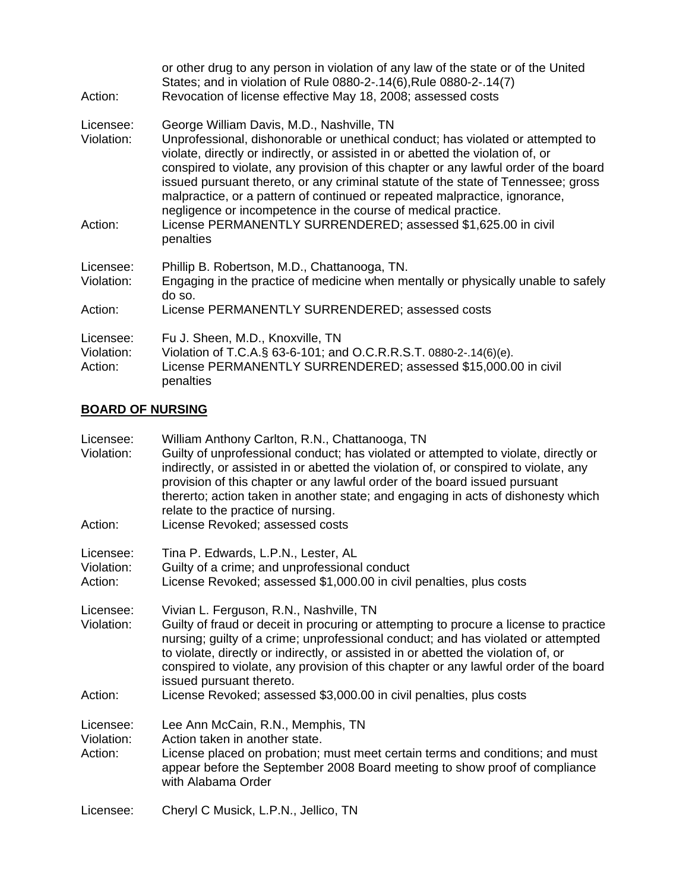| Action:                            | or other drug to any person in violation of any law of the state or of the United<br>States; and in violation of Rule 0880-2-.14(6), Rule 0880-2-.14(7)<br>Revocation of license effective May 18, 2008; assessed costs                                                                                                                                                                                                                                                                                                                                                                                      |
|------------------------------------|--------------------------------------------------------------------------------------------------------------------------------------------------------------------------------------------------------------------------------------------------------------------------------------------------------------------------------------------------------------------------------------------------------------------------------------------------------------------------------------------------------------------------------------------------------------------------------------------------------------|
| Licensee:<br>Violation:<br>Action: | George William Davis, M.D., Nashville, TN<br>Unprofessional, dishonorable or unethical conduct; has violated or attempted to<br>violate, directly or indirectly, or assisted in or abetted the violation of, or<br>conspired to violate, any provision of this chapter or any lawful order of the board<br>issued pursuant thereto, or any criminal statute of the state of Tennessee; gross<br>malpractice, or a pattern of continued or repeated malpractice, ignorance,<br>negligence or incompetence in the course of medical practice.<br>License PERMANENTLY SURRENDERED; assessed \$1,625.00 in civil |
|                                    | penalties                                                                                                                                                                                                                                                                                                                                                                                                                                                                                                                                                                                                    |
| Licensee:<br>Violation:            | Phillip B. Robertson, M.D., Chattanooga, TN.<br>Engaging in the practice of medicine when mentally or physically unable to safely<br>do so.                                                                                                                                                                                                                                                                                                                                                                                                                                                                  |
| Action:                            | License PERMANENTLY SURRENDERED; assessed costs                                                                                                                                                                                                                                                                                                                                                                                                                                                                                                                                                              |
| Licensee:<br>Violation:<br>Action: | Fu J. Sheen, M.D., Knoxville, TN<br>Violation of T.C.A.§ 63-6-101; and O.C.R.R.S.T. 0880-2-.14(6)(e).<br>License PERMANENTLY SURRENDERED; assessed \$15,000.00 in civil<br>penalties                                                                                                                                                                                                                                                                                                                                                                                                                         |

## **BOARD OF NURSING**

| Licensee:<br>Violation:<br>Action: | William Anthony Carlton, R.N., Chattanooga, TN<br>Guilty of unprofessional conduct; has violated or attempted to violate, directly or<br>indirectly, or assisted in or abetted the violation of, or conspired to violate, any<br>provision of this chapter or any lawful order of the board issued pursuant<br>thererto; action taken in another state; and engaging in acts of dishonesty which<br>relate to the practice of nursing.<br>License Revoked; assessed costs                              |
|------------------------------------|--------------------------------------------------------------------------------------------------------------------------------------------------------------------------------------------------------------------------------------------------------------------------------------------------------------------------------------------------------------------------------------------------------------------------------------------------------------------------------------------------------|
| Licensee:<br>Violation:<br>Action: | Tina P. Edwards, L.P.N., Lester, AL<br>Guilty of a crime; and unprofessional conduct<br>License Revoked; assessed \$1,000.00 in civil penalties, plus costs                                                                                                                                                                                                                                                                                                                                            |
| Licensee:<br>Violation:<br>Action: | Vivian L. Ferguson, R.N., Nashville, TN<br>Guilty of fraud or deceit in procuring or attempting to procure a license to practice<br>nursing; guilty of a crime; unprofessional conduct; and has violated or attempted<br>to violate, directly or indirectly, or assisted in or abetted the violation of, or<br>conspired to violate, any provision of this chapter or any lawful order of the board<br>issued pursuant thereto.<br>License Revoked; assessed \$3,000.00 in civil penalties, plus costs |
| Licensee:<br>Violation:<br>Action: | Lee Ann McCain, R.N., Memphis, TN<br>Action taken in another state.<br>License placed on probation; must meet certain terms and conditions; and must<br>appear before the September 2008 Board meeting to show proof of compliance<br>with Alabama Order                                                                                                                                                                                                                                               |
| Licensee:                          | Cheryl C Musick, L.P.N., Jellico, TN                                                                                                                                                                                                                                                                                                                                                                                                                                                                   |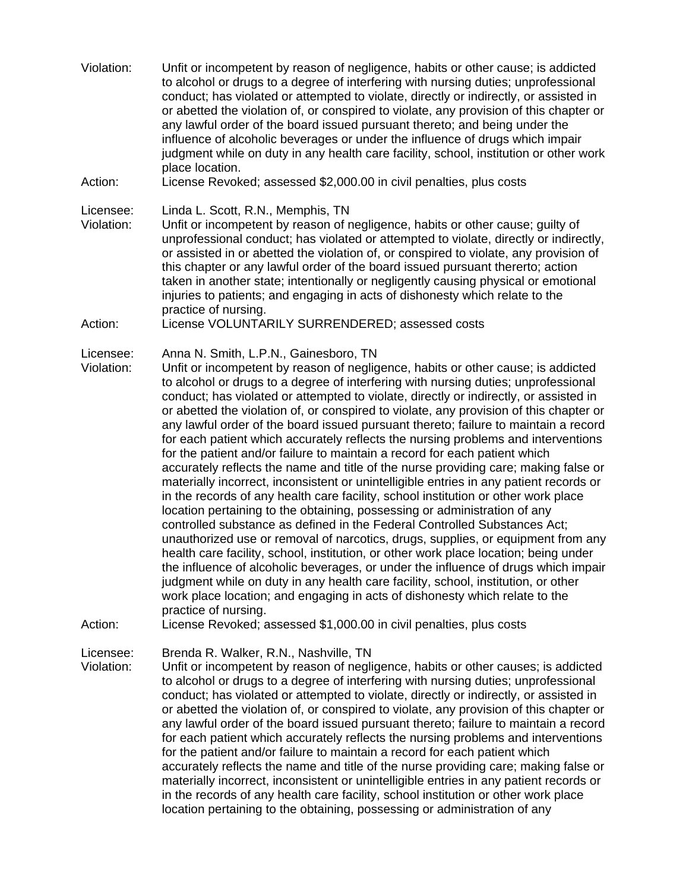Violation: Unfit or incompetent by reason of negligence, habits or other cause; is addicted to alcohol or drugs to a degree of interfering with nursing duties; unprofessional conduct; has violated or attempted to violate, directly or indirectly, or assisted in or abetted the violation of, or conspired to violate, any provision of this chapter or any lawful order of the board issued pursuant thereto; and being under the influence of alcoholic beverages or under the influence of drugs which impair judgment while on duty in any health care facility, school, institution or other work place location. Action: License Revoked; assessed \$2,000.00 in civil penalties, plus costs Licensee: Linda L. Scott, R.N., Memphis, TN Violation: Unfit or incompetent by reason of negligence, habits or other cause; guilty of unprofessional conduct; has violated or attempted to violate, directly or indirectly, or assisted in or abetted the violation of, or conspired to violate, any provision of this chapter or any lawful order of the board issued pursuant thererto; action taken in another state; intentionally or negligently causing physical or emotional injuries to patients; and engaging in acts of dishonesty which relate to the practice of nursing. Action: License VOLUNTARILY SURRENDERED; assessed costs Licensee: Anna N. Smith, L.P.N., Gainesboro, TN Violation: Unfit or incompetent by reason of negligence, habits or other cause; is addicted to alcohol or drugs to a degree of interfering with nursing duties; unprofessional conduct; has violated or attempted to violate, directly or indirectly, or assisted in or abetted the violation of, or conspired to violate, any provision of this chapter or any lawful order of the board issued pursuant thereto; failure to maintain a record for each patient which accurately reflects the nursing problems and interventions for the patient and/or failure to maintain a record for each patient which accurately reflects the name and title of the nurse providing care; making false or materially incorrect, inconsistent or unintelligible entries in any patient records or in the records of any health care facility, school institution or other work place location pertaining to the obtaining, possessing or administration of any controlled substance as defined in the Federal Controlled Substances Act; unauthorized use or removal of narcotics, drugs, supplies, or equipment from any health care facility, school, institution, or other work place location; being under the influence of alcoholic beverages, or under the influence of drugs which impair judgment while on duty in any health care facility, school, institution, or other work place location; and engaging in acts of dishonesty which relate to the practice of nursing. Action: License Revoked; assessed \$1,000.00 in civil penalties, plus costs Licensee: Brenda R. Walker, R.N., Nashville, TN Violation: Unfit or incompetent by reason of negligence, habits or other causes; is addicted to alcohol or drugs to a degree of interfering with nursing duties; unprofessional

conduct; has violated or attempted to violate, directly or indirectly, or assisted in or abetted the violation of, or conspired to violate, any provision of this chapter or any lawful order of the board issued pursuant thereto; failure to maintain a record for each patient which accurately reflects the nursing problems and interventions for the patient and/or failure to maintain a record for each patient which accurately reflects the name and title of the nurse providing care; making false or materially incorrect, inconsistent or unintelligible entries in any patient records or in the records of any health care facility, school institution or other work place location pertaining to the obtaining, possessing or administration of any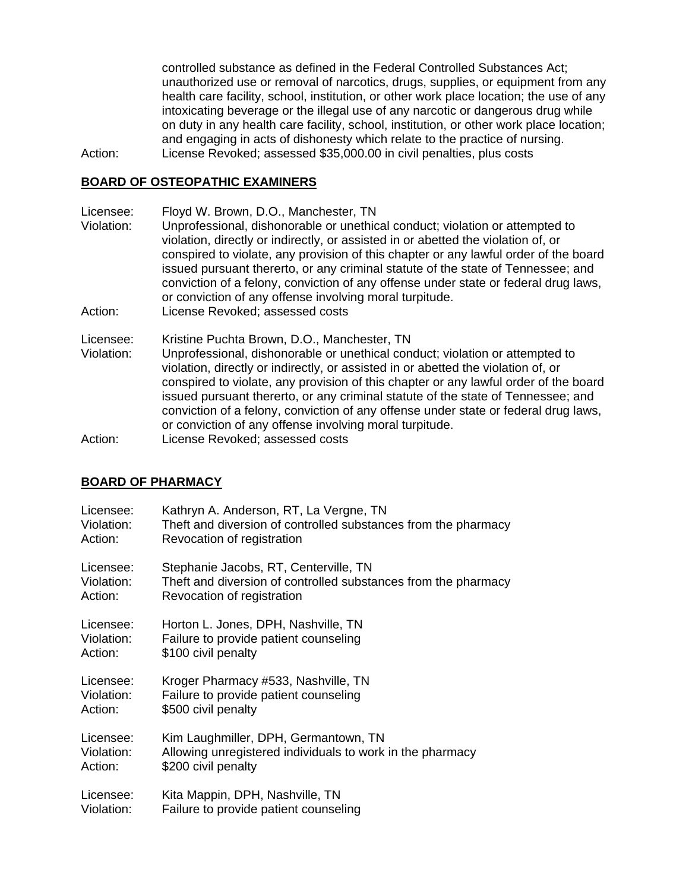controlled substance as defined in the Federal Controlled Substances Act; unauthorized use or removal of narcotics, drugs, supplies, or equipment from any health care facility, school, institution, or other work place location; the use of any intoxicating beverage or the illegal use of any narcotic or dangerous drug while on duty in any health care facility, school, institution, or other work place location; and engaging in acts of dishonesty which relate to the practice of nursing. Action: License Revoked; assessed \$35,000.00 in civil penalties, plus costs

## **BOARD OF OSTEOPATHIC EXAMINERS**

Licensee: Floyd W. Brown, D.O., Manchester, TN Violation: Unprofessional, dishonorable or unethical conduct; violation or attempted to violation, directly or indirectly, or assisted in or abetted the violation of, or conspired to violate, any provision of this chapter or any lawful order of the board issued pursuant thererto, or any criminal statute of the state of Tennessee; and conviction of a felony, conviction of any offense under state or federal drug laws, or conviction of any offense involving moral turpitude. Action: License Revoked; assessed costs Licensee: Kristine Puchta Brown, D.O., Manchester, TN Violation: Unprofessional, dishonorable or unethical conduct; violation or attempted to violation, directly or indirectly, or assisted in or abetted the violation of, or conspired to violate, any provision of this chapter or any lawful order of the board issued pursuant thererto, or any criminal statute of the state of Tennessee; and conviction of a felony, conviction of any offense under state or federal drug laws, or conviction of any offense involving moral turpitude.

Action: License Revoked; assessed costs

### **BOARD OF PHARMACY**

| Licensee:  | Kathryn A. Anderson, RT, La Vergne, TN                         |
|------------|----------------------------------------------------------------|
| Violation: | Theft and diversion of controlled substances from the pharmacy |
| Action:    | Revocation of registration                                     |
| Licensee:  | Stephanie Jacobs, RT, Centerville, TN                          |
| Violation: | Theft and diversion of controlled substances from the pharmacy |
| Action:    | Revocation of registration                                     |
| Licensee:  | Horton L. Jones, DPH, Nashville, TN                            |
| Violation: | Failure to provide patient counseling                          |
| Action:    | \$100 civil penalty                                            |
| Licensee:  | Kroger Pharmacy #533, Nashville, TN                            |
| Violation: | Failure to provide patient counseling                          |
| Action:    | \$500 civil penalty                                            |
| Licensee:  | Kim Laughmiller, DPH, Germantown, TN                           |
| Violation: | Allowing unregistered individuals to work in the pharmacy      |
| Action:    | \$200 civil penalty                                            |
| Licensee:  | Kita Mappin, DPH, Nashville, TN                                |
| Violation: | Failure to provide patient counseling                          |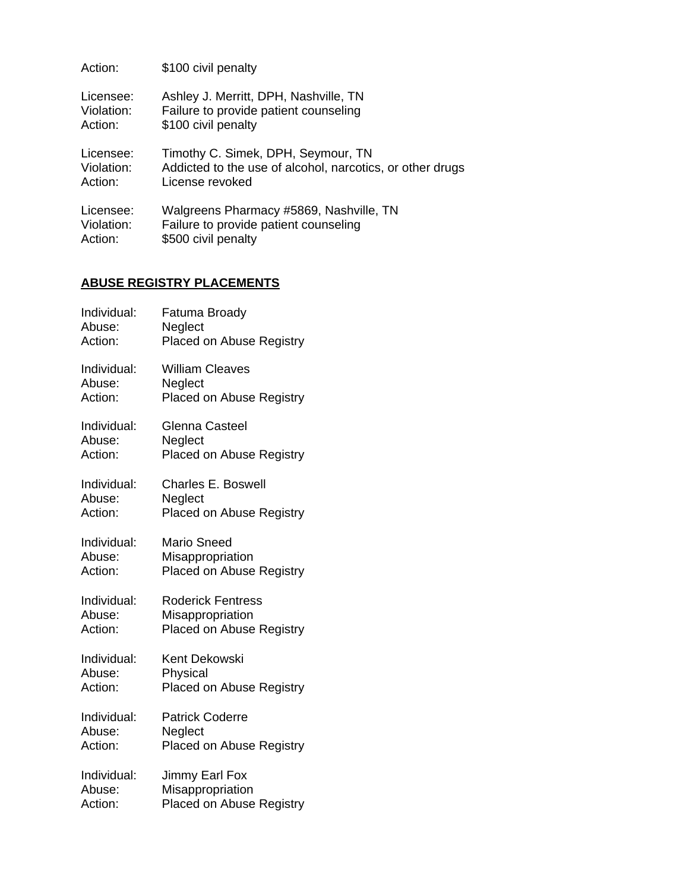| Action:    | \$100 civil penalty                                       |
|------------|-----------------------------------------------------------|
| Licensee:  | Ashley J. Merritt, DPH, Nashville, TN                     |
| Violation: | Failure to provide patient counseling                     |
| Action:    | \$100 civil penalty                                       |
| Licensee:  | Timothy C. Simek, DPH, Seymour, TN                        |
| Violation: | Addicted to the use of alcohol, narcotics, or other drugs |
| Action:    | License revoked                                           |
| Licensee:  | Walgreens Pharmacy #5869, Nashville, TN                   |
| Violation: | Failure to provide patient counseling                     |
| Action:    | \$500 civil penalty                                       |

## **ABUSE REGISTRY PLACEMENTS**

| Individual: | Fatuma Broady                   |
|-------------|---------------------------------|
| Abuse:      | Neglect                         |
| Action:     | Placed on Abuse Registry        |
| Individual: | <b>William Cleaves</b>          |
| Abuse:      | Neglect                         |
| Action:     | Placed on Abuse Registry        |
| Individual: | <b>Glenna Casteel</b>           |
| Abuse:      | Neglect                         |
| Action:     | Placed on Abuse Registry        |
| Individual: | <b>Charles E. Boswell</b>       |
| Abuse:      | Neglect                         |
| Action:     | Placed on Abuse Registry        |
| Individual: | <b>Mario Sneed</b>              |
| Abuse:      | Misappropriation                |
| Action:     | Placed on Abuse Registry        |
| Individual: | <b>Roderick Fentress</b>        |
| Abuse:      | Misappropriation                |
| Action:     | <b>Placed on Abuse Registry</b> |
| Individual: | <b>Kent Dekowski</b>            |
| Abuse:      | Physical                        |
| Action:     | Placed on Abuse Registry        |
| Individual: | <b>Patrick Coderre</b>          |
| Abuse:      | Neglect                         |
| Action:     | Placed on Abuse Registry        |
| Individual: | Jimmy Earl Fox                  |
| Abuse:      | Misappropriation                |
| Action:     | <b>Placed on Abuse Registry</b> |